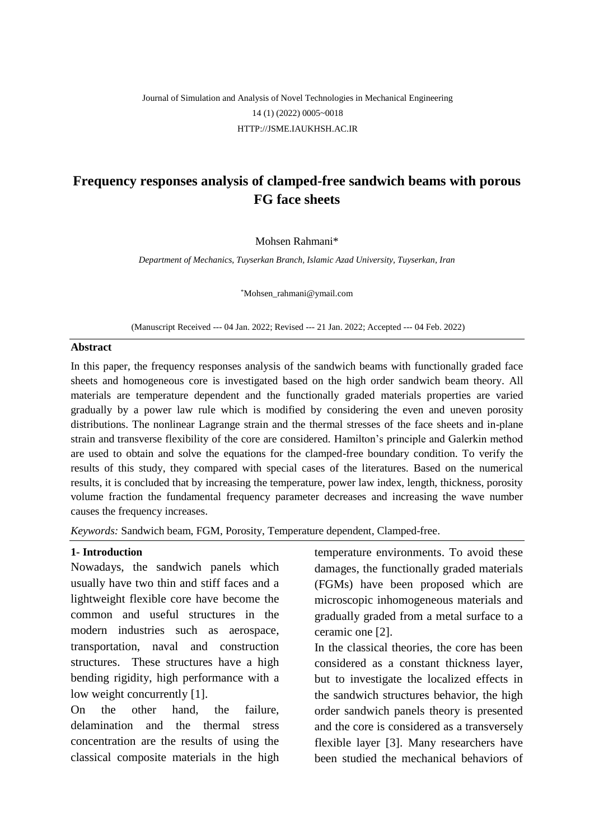# Journal of Simulation and Analysis of Novel Technologies in Mechanical Engineering 14 (1) (2022) 0005~0018 [HTTP://JSME.IAUKHSH.AC.IR](http://jsme.iaukhsh.ac.ir/)

# **Frequency responses analysis of clamped-free sandwich beams with porous FG face sheets**

Mohsen Rahmani\*

*Department of Mechanics, Tuyserkan Branch, Islamic Azad University, Tuyserkan, Iran*

\*Mohsen\_rahmani@ymail.com

(Manuscript Received --- 04 Jan. 2022; Revised --- 21 Jan. 2022; Accepted --- 04 Feb. 2022)

#### **Abstract**

In this paper, the frequency responses analysis of the sandwich beams with functionally graded face sheets and homogeneous core is investigated based on the high order sandwich beam theory. All materials are temperature dependent and the functionally graded materials properties are varied gradually by a power law rule which is modified by considering the even and uneven porosity distributions. The nonlinear Lagrange strain and the thermal stresses of the face sheets and in-plane strain and transverse flexibility of the core are considered. Hamilton's principle and Galerkin method are used to obtain and solve the equations for the clamped-free boundary condition. To verify the results of this study, they compared with special cases of the literatures. Based on the numerical results, it is concluded that by increasing the temperature, power law index, length, thickness, porosity volume fraction the fundamental frequency parameter decreases and increasing the wave number causes the frequency increases.

*Keywords:* Sandwich beam, FGM, Porosity, Temperature dependent, Clamped-free.

#### **1- Introduction**

Nowadays, the sandwich panels which usually have two thin and stiff faces and a lightweight flexible core have become the common and useful structures in the modern industries such as aerospace, transportation, naval and construction structures. These structures have a high bending rigidity, high performance with a low weight concurrently [1].

On the other hand, the failure, delamination and the thermal stress concentration are the results of using the classical composite materials in the high temperature environments. To avoid these damages, the functionally graded materials (FGMs) have been proposed which are microscopic inhomogeneous materials and gradually graded from a metal surface to a ceramic one [2].

In the classical theories, the core has been considered as a constant thickness layer, but to investigate the localized effects in the sandwich structures behavior, the high order sandwich panels theory is presented and the core is considered as a transversely flexible layer [3]. Many researchers have been studied the mechanical behaviors of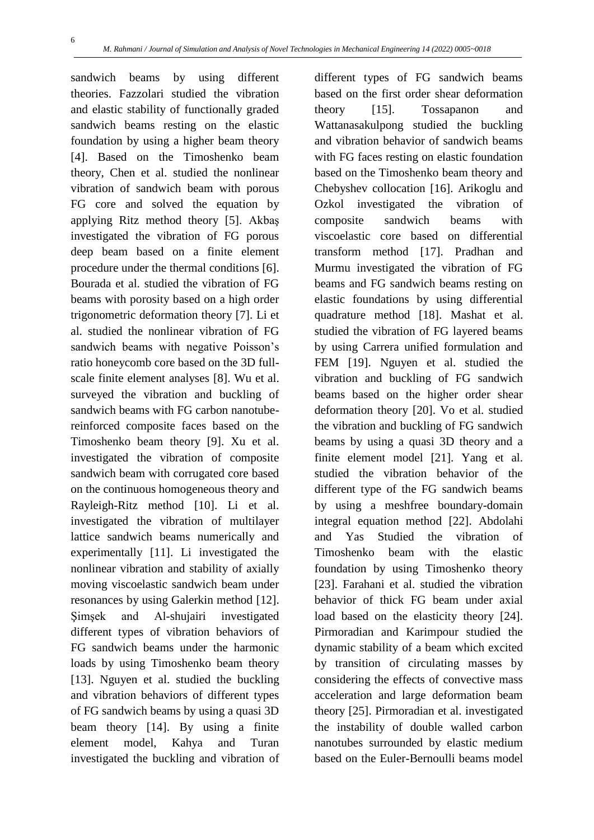sandwich beams by using different theories. Fazzolari studied the vibration and elastic stability of functionally graded sandwich beams resting on the elastic foundation by using a higher beam theory [4]. Based on the Timoshenko beam theory, Chen et al. studied the nonlinear vibration of sandwich beam with porous FG core and solved the equation by applying Ritz method theory [5]. Akbaş investigated the vibration of FG porous deep beam based on a finite element procedure under the thermal conditions [6]. Bourada et al. studied the vibration of FG beams with porosity based on a high order trigonometric deformation theory [7]. Li et al. studied the nonlinear vibration of FG sandwich beams with negative Poisson's ratio honeycomb core based on the 3D fullscale finite element analyses [8]. Wu et al. surveyed the vibration and buckling of sandwich beams with FG carbon nanotubereinforced composite faces based on the Timoshenko beam theory [9]. Xu et al. investigated the vibration of composite sandwich beam with corrugated core based on the continuous homogeneous theory and Rayleigh-Ritz method [10]. Li et al. investigated the vibration of multilayer lattice sandwich beams numerically and experimentally [11]. Li investigated the nonlinear vibration and stability of axially moving viscoelastic sandwich beam under resonances by using Galerkin method [12]. Şimşek and Al-shujairi investigated different types of vibration behaviors of FG sandwich beams under the harmonic loads by using Timoshenko beam theory [13]. Nguyen et al. studied the buckling and vibration behaviors of different types of FG sandwich beams by using a quasi 3D beam theory [14]. By using a finite element model, Kahya and Turan investigated the buckling and vibration of different types of FG sandwich beams based on the first order shear deformation theory [15]. Tossapanon and Wattanasakulpong studied the buckling and vibration behavior of sandwich beams with FG faces resting on elastic foundation based on the Timoshenko beam theory and Chebyshev collocation [16]. Arikoglu and Ozkol investigated the vibration of composite sandwich beams with viscoelastic core based on differential transform method [17]. Pradhan and Murmu investigated the vibration of FG beams and FG sandwich beams resting on elastic foundations by using differential quadrature method [18]. Mashat et al. studied the vibration of FG layered beams by using Carrera unified formulation and FEM [19]. Nguyen et al. studied the vibration and buckling of FG sandwich beams based on the higher order shear deformation theory [20]. Vo et al. studied the vibration and buckling of FG sandwich beams by using a quasi 3D theory and a finite element model [21]. Yang et al. studied the vibration behavior of the different type of the FG sandwich beams by using a meshfree boundary-domain integral equation method [22]. Abdolahi and Yas Studied the vibration of Timoshenko beam with the elastic foundation by using Timoshenko theory [23]. Farahani et al. studied the vibration behavior of thick FG beam under axial load based on the elasticity theory [24]. Pirmoradian and Karimpour studied the dynamic stability of a beam which excited by transition of circulating masses by considering the effects of convective mass acceleration and large deformation beam theory [25]. Pirmoradian et al. investigated the instability of double walled carbon nanotubes surrounded by elastic medium based on the Euler-Bernoulli beams model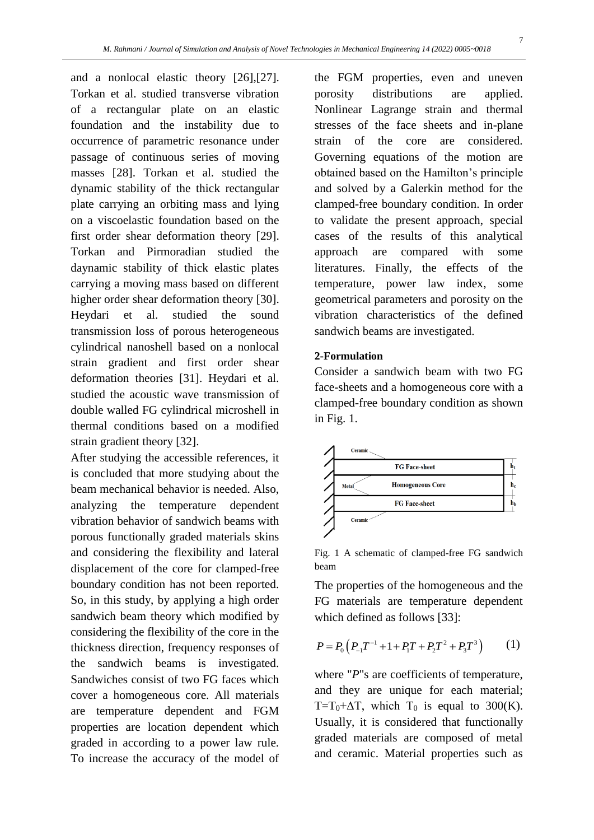and a nonlocal elastic theory [26],[27]. Torkan et al. studied transverse vibration of a rectangular plate on an elastic foundation and the instability due to occurrence of parametric resonance under passage of continuous series of moving masses [28]. Torkan et al. studied the dynamic stability of the thick rectangular plate carrying an orbiting mass and lying on a viscoelastic foundation based on the first order shear deformation theory [29]. Torkan and Pirmoradian studied the daynamic stability of thick elastic plates carrying a moving mass based on different higher order shear deformation theory [30]. Heydari et al. studied the sound transmission loss of porous heterogeneous cylindrical nanoshell based on a nonlocal strain gradient and first order shear deformation theories [31]. Heydari et al. studied the acoustic wave transmission of double walled FG cylindrical microshell in thermal conditions based on a modified strain gradient theory [32].

After studying the accessible references, it is concluded that more studying about the beam mechanical behavior is needed. Also, analyzing the temperature dependent vibration behavior of sandwich beams with porous functionally graded materials skins and considering the flexibility and lateral displacement of the core for clamped-free boundary condition has not been reported. So, in this study, by applying a high order sandwich beam theory which modified by considering the flexibility of the core in the thickness direction, frequency responses of the sandwich beams is investigated. Sandwiches consist of two FG faces which cover a homogeneous core. All materials are temperature dependent and FGM properties are location dependent which graded in according to a power law rule. To increase the accuracy of the model of the FGM properties, even and uneven porosity distributions are applied. Nonlinear Lagrange strain and thermal stresses of the face sheets and in-plane strain of the core are considered. Governing equations of the motion are obtained based on the Hamilton's principle and solved by a Galerkin method for the clamped-free boundary condition. In order to validate the present approach, special cases of the results of this analytical approach are compared with some literatures. Finally, the effects of the temperature, power law index, some geometrical parameters and porosity on the vibration characteristics of the defined sandwich beams are investigated.

### **2-Formulation**

Consider a sandwich beam with two FG face-sheets and a homogeneous core with a clamped-free boundary condition as shown in Fig. 1.



Fig. 1 A schematic of clamped-free FG sandwich beam

The properties of the homogeneous and the FG materials are temperature dependent which defined as follows [33]:

$$
P = P_0 \left( P_{-1} T^{-1} + 1 + P_1 T + P_2 T^2 + P_3 T^3 \right) \tag{1}
$$

where "*P*"s are coefficients of temperature, and they are unique for each material; T=T<sub>0</sub>+ $\Delta$ T, which T<sub>0</sub> is equal to 300(K). Usually, it is considered that functionally graded materials are composed of metal and ceramic. Material properties such as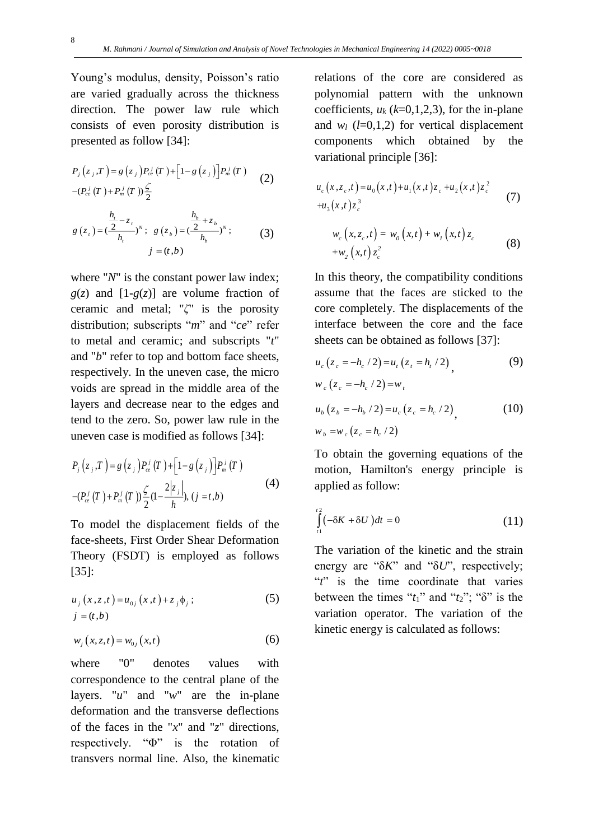Young's modulus, density, Poisson's ratio are varied gradually across the thickness direction. The power law rule which consists of even porosity distribution is presented as follow [34]:

$$
P_{j}(z_{j}, T) = g(z_{j})P_{ce}^{j}(T) + [1 - g(z_{j})]P_{m}^{j}(T)
$$
  
\n
$$
-(P_{ce}^{j}(T) + P_{m}^{j}(T))\frac{\zeta}{2}
$$
  
\n
$$
g(z_{i}) = (\frac{\frac{h_{i}}{2} - z_{i}}{h_{i}})^{N}; g(z_{b}) = (\frac{\frac{h_{b}}{2} + z_{b}}{h_{b}})^{N};
$$
\n(3)

 $j = (t, b)$ 

where "*N*" is the constant power law index;  $g(z)$  and  $[1-g(z)]$  are volume fraction of ceramic and metal; "*ζ*" is the porosity distribution; subscripts "*m*" and "*ce*" refer to metal and ceramic; and subscripts "*t*" and "*b*" refer to top and bottom face sheets, respectively. In the uneven case, the micro voids are spread in the middle area of the layers and decrease near to the edges and tend to the zero. So, power law rule in the uneven case is modified as follows [34]:

$$
P_{j}(z_{j},T) = g(z_{j})P_{ce}^{j}(T) + [1-g(z_{j})]P_{m}^{j}(T)
$$
  
-( $P_{ce}^{j}(T) + P_{m}^{j}(T) \frac{\zeta}{2} (1 - \frac{2|z_{j}|}{h}), (j = t,b)$  (4)

To model the displacement fields of the face-sheets, First Order Shear Deformation Theory (FSDT) is employed as follows [35]:

$$
u_{j}(x, z, t) = u_{0j}(x, t) + z_{j} \phi_{j};
$$
\n(5)  
\n
$$
j = (t, b)
$$

$$
w_j(x, z, t) = w_{0j}(x, t)
$$
 (6)

where "0" denotes values with correspondence to the central plane of the layers. "*u*" and "*w*" are the in-plane deformation and the transverse deflections of the faces in the "*x*" and "*z*" directions, respectively. "Φ" is the rotation of transvers normal line. Also, the kinematic

relations of the core are considered as polynomial pattern with the unknown coefficients,  $u_k$  ( $k=0,1,2,3$ ), for the in-plane and  $w_l$  ( $l=0,1,2$ ) for vertical displacement components which obtained by the variational principle [36]:

$$
u_c(x, z_c, t) = u_0(x, t) + u_1(x, t)z_c + u_2(x, t)z_c^2
$$
  
\n
$$
+u_3(x, t)z_c^3
$$
  
\n
$$
w_c(x, z_c, t) = w_0(x, t) + w_1(x, t)z_c
$$
  
\n
$$
+w_2(x, t)z_c^2
$$
\n(8)

In this theory, the compatibility conditions assume that the faces are sticked to the core completely. The displacements of the interface between the core and the face sheets can be obtained as follows [37]:

$$
u_c(z_c = -h_c/2) = u_t(z_t = h_t/2), \qquad (9)
$$

$$
w_c(z_c = -h_c/2) = w_t
$$

$$
u_b (z_b = -h_b / 2) = u_c (z_c = h_c / 2),
$$
  
\n
$$
w_b = w_c (z_c = h_c / 2)
$$
\n(10)

To obtain the governing equations of the motion, Hamilton's energy principle is applied as follow:

$$
\int_{t1}^{t2} \left(-\delta K + \delta U\right) dt = 0\tag{11}
$$

The variation of the kinetic and the strain energy are "δ*K*" and "δ*U*", respectively; "*t*" is the time coordinate that varies between the times " $t_1$ " and " $t_2$ "; " $\delta$ " is the variation operator. The variation of the kinetic energy is calculated as follows: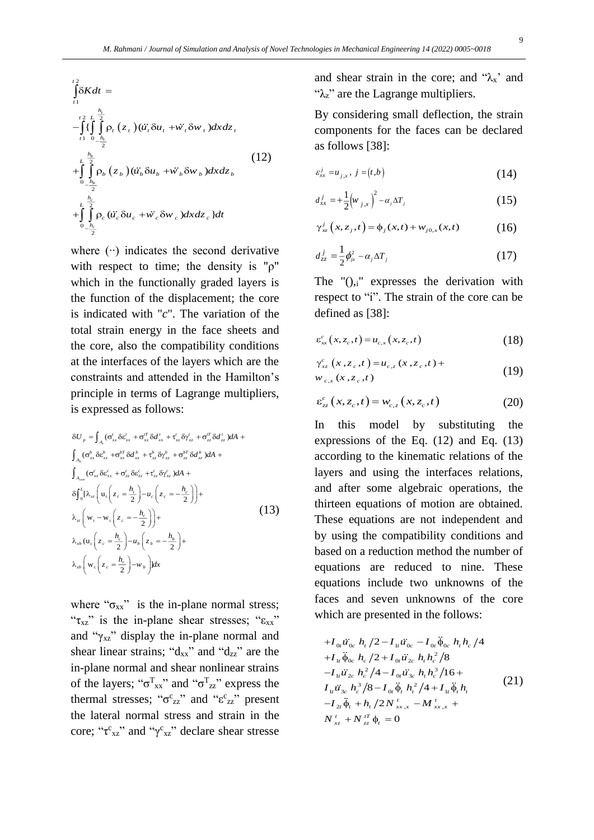$$
\int_{t_1}^{t_2} \delta K dt =
$$
\n
$$
-\int_{t_1}^{t_2} \left\{ \int_{t_1}^{\frac{h_t}{2}} \rho_t(z_t) (\ddot{u}_t \delta u_t + \ddot{w}_t \delta w_t) dxdz_t \right\}
$$
\n
$$
+\int_{0}^{t_2} \int_{-\frac{h_b}{2}}^{\frac{h_b}{2}} \rho_b(z_b) (\ddot{u}_b \delta u_b + \ddot{w}_b \delta w_b) dxdz_b
$$
\n
$$
+\int_{0}^{t_2} \int_{-\frac{h_c}{2}}^{\frac{h_c}{2}} \rho_c (\ddot{u}_c \delta u_c + \ddot{w}_c \delta w_c) dxdz_c dt
$$
\n(12)

where (∙∙) indicates the second derivative with respect to time; the density is " $\rho$ " which in the functionally graded layers is the function of the displacement; the core is indicated with "*c*". The variation of the total strain energy in the face sheets and the core, also the compatibility conditions at the interfaces of the layers which are the constraints and attended in the Hamilton's principle in terms of Lagrange multipliers, is expressed as follows:

$$
\delta U_{p} = \int_{A_{i}} (\sigma'_{xx} \delta \varepsilon'_{xx} + \sigma'^{T}_{xx} \delta d'_{xx} + \tau'_{xz} \delta \gamma'_{xz} + \sigma'^{T}_{cz} \delta d'_{zz}) dA +
$$
  

$$
\int_{A_{b}} (\sigma^{b}_{xx} \delta \varepsilon^{b}_{xx} + \sigma'^{B}_{xx} \delta d^{b}_{xx} + \tau'_{xz} \delta \gamma'_{xz} + \sigma'^{B}_{zz} \delta d^{b}_{zz}) dA +
$$
  

$$
\int_{A_{\text{conv}}} (\sigma^{c}_{xx} \delta \varepsilon'_{xx} + \sigma^{c}_{zz} \delta \varepsilon'_{zz} + \tau'_{xz} \delta \gamma'_{xz}) dA +
$$
  

$$
\delta \int_{0}^{L} [\lambda_{xt} \left( u_{t} \left( z_{t} = \frac{h_{t}}{2} \right) - u_{c} \left( z_{c} = -\frac{h_{c}}{2} \right) \right) +
$$
  

$$
\lambda_{zt} \left( w_{t} - w_{c} \left( z_{c} = -\frac{h_{c}}{2} \right) \right) +
$$
  

$$
\lambda_{xb} (u_{c} \left( z_{c} = \frac{h_{c}}{2} \right) - u_{b} \left( z_{b} = -\frac{h_{b}}{2} \right) +
$$
  

$$
\lambda_{zb} \left( w_{c} \left( z_{c} = \frac{h_{c}}{2} \right) - w_{b} \right) dx
$$
  
(13)

where " $\sigma_{xx}$ " is the in-plane normal stress; " $\tau_{xz}$ " is the in-plane shear stresses; " $\epsilon_{xx}$ " and " $\gamma_{xz}$ " display the in-plane normal and shear linear strains; " $d_{xx}$ " and " $d_{zz}$ " are the in-plane normal and shear nonlinear strains of the layers; " $\sigma_{xx}^{T}$ " and " $\sigma_{zz}^{T}$ " express the thermal stresses; " $\sigma_{zz}^c$ " and " $\epsilon_{zz}^c$ " present the lateral normal stress and strain in the core; " $\tau_{xz}^c$ " and " $\gamma_{xz}^c$ " declare shear stresse and shear strain in the core; and " $\lambda_{x}$ " and " $\lambda$ <sub>z</sub>" are the Lagrange multipliers.

By considering small deflection, the strain components for the faces can be declared as follows [38]:

$$
\varepsilon_{xx}^j = u_{j,x}, \ j = (t,b) \tag{14}
$$

$$
d_{xx}^j = +\frac{1}{2} \left( w_{j,x} \right)^2 - \alpha_j \Delta T_j \tag{15}
$$

$$
\gamma_{xz}^{j}(x, z_{j}, t) = \phi_{j}(x, t) + w_{j0, x}(x, t)
$$
 (16)

$$
d_{zz}^j = \frac{1}{2} \phi_{jx}^2 - \alpha_j \Delta T_j \tag{17}
$$

The  $\prime$ <sup>"</sup> $()$ <sub>i</sub>" expresses the derivation with respect to "i". The strain of the core can be defined as [38]:

$$
\varepsilon_{xx}^c(x, z_c, t) = u_{c,x}(x, z_c, t)
$$
\n(18)

$$
\gamma_{xz}^{c}(x, z_c, t) = u_{c,z}(x, z_c, t) + w_{c,x}(x, z_c, t)
$$
\n(19)

$$
\varepsilon_{zz}^c(x, z_c, t) = w_{c,z}(x, z_c, t)
$$
 (20)

In this model by substituting the expressions of the Eq. (12) and Eq. (13) according to the kinematic relations of the layers and using the interfaces relations, and after some algebraic operations, the thirteen equations of motion are obtained. These equations are not independent and by using the compatibility conditions and based on a reduction method the number of equations are reduced to nine. These equations include two unknowns of the faces and seven unknowns of the core which are presented in the follows:

$$
+I_{0i}\ddot{u}_{0c} h_{t}/2 - I_{1i}\ddot{u}_{0c} - I_{0i}\dot{\phi}_{0c} h_{t} h_{c}/4
$$
  
\n
$$
+I_{1i}\ddot{\phi}_{0c} h_{c}/2 + I_{0i}\ddot{u}_{2c} h_{t} h_{c}^{2}/8
$$
  
\n
$$
-I_{1i}\ddot{u}_{2c} h_{c}^{2}/4 - I_{0i}\ddot{u}_{3c} h_{t} h_{c}^{3}/16 +
$$
  
\n
$$
I_{1i}\ddot{u}_{3c} h_{c}^{3}/8 - I_{0i}\ddot{\phi}_{t} h_{t}^{2}/4 + I_{1i}\ddot{\phi}_{t} h_{t}
$$
  
\n
$$
-I_{2i}\ddot{\phi}_{t} + h_{t}/2N_{xx,x}^{t} - M_{xx,x}^{t} +
$$
  
\n
$$
N_{xz}^{t} + N_{zz}^{tt}\phi_{t} = 0
$$
  
\n(21)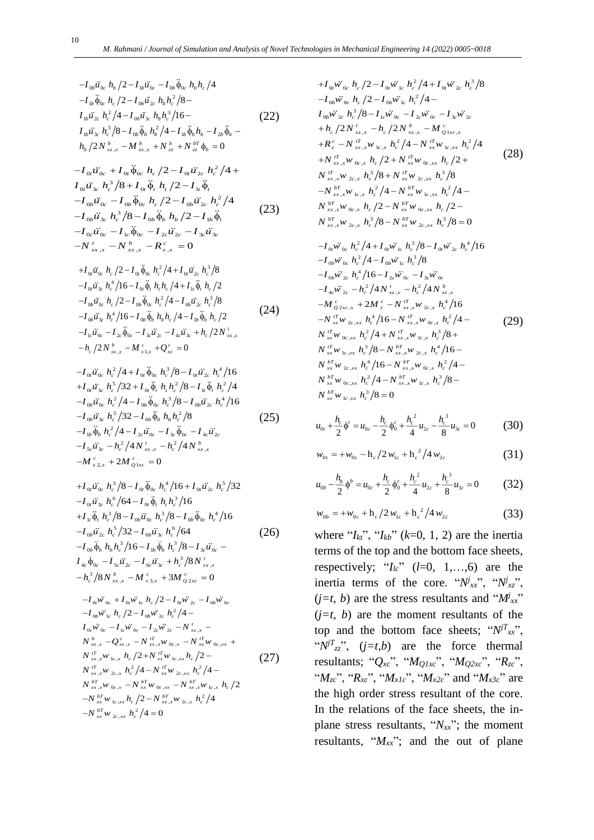$$
-I_{0b}\ddot{u}_{0c} h_b/2 - I_{1b}\ddot{u}_{0c} - I_{0b}\ddot{\phi}_{0c} h_b h_c/4
$$
  
\n
$$
-I_{1b}\ddot{\phi}_{0c} h_c/2 - I_{0b}\ddot{u}_{2c} h_b h_c^2/8 -
$$
  
\n
$$
I_{1b}\ddot{u}_{2c} h_c^2/4 - I_{0b}\ddot{u}_{3c} h_b h_c^3/16 -
$$
  
\n
$$
I_{1b}\ddot{u}_{3c} h_c^3/8 - I_{0b}\ddot{\phi}_b h_b^2/4 - I_{1b}\ddot{\phi}_b h_b - I_{2b}\ddot{\phi}_b -
$$
  
\n
$$
h_b/2N_{xx,x}^b - M_{xx,x}^b + N_{xz}^b + N_{zz}^{b\tau}\phi_b = 0
$$
\n(22)

$$
-I_{0t}\ddot{u}_{0c} + I_{0t}\ddot{\phi}_{0c} h_c/2 - I_{0t}\ddot{u}_{2c} h_c^2/4 + I_{0t}\ddot{u}_{3c} h_c^3/8 + I_{0t}\ddot{\phi}_t h_t/2 - I_{1t}\ddot{\phi}_t -I_{0b}\ddot{u}_{0c} - I_{0b}\ddot{\phi}_{0c} h_c/2 - I_{0b}\ddot{u}_{2c} h_c^2/4 -I_{0b}\ddot{u}_{3c} h_c^3/8 - I_{0b}\ddot{\phi}_b h_b/2 - I_{1b}\ddot{\phi}_t -I_{0c}\ddot{u}_{0c} - I_{1c}\ddot{\phi}_{0c} - I_{2c}\ddot{u}_{2c} - I_{3c}\ddot{u}_{3c} -N'_{xx,x} - N'_{xx,x} - R''_{x,x} = 0
$$
\n(23)

$$
+I_{0t}\ddot{u}_{0c} h_c/2 - I_{0t}\phi_{0c} h_c^2/4 + I_{0t}\ddot{u}_{2c} h_c^3/8
$$
  
\n
$$
-I_{0t}\ddot{u}_{3c} h_c^4/16 - I_{0t}\ddot{\phi}_t h_t h_c/4 + I_{1t}\ddot{\phi}_t h_c/2
$$
  
\n
$$
-I_{0b}\ddot{u}_{0c} h_c/2 - I_{0b}\ddot{\phi}_{0c} h_c^2/4 - I_{0b}\ddot{u}_{2c} h_c^3/8
$$
  
\n
$$
-I_{0b}\ddot{u}_{3c} h_c^4/16 - I_{0b}\ddot{\phi}_b h_b h_c/4 - I_{1b}\ddot{\phi}_b h_c/2
$$
  
\n
$$
-I_{1c}\ddot{u}_{0c} - I_{2c}\ddot{\phi}_{0c} - I_{3c}\ddot{u}_{2c} - I_{4c}\ddot{u}_{3c} + h_c/2N_{xx,x}^t
$$
  
\n
$$
-h_c/2N_{xx,x}^b - M_{x1,x}^c + Q_{xz}^c = 0
$$
  
\n(24)

$$
-I_{0t}\ddot{u}_{0c} h_c^2/4 + I_{0t}\ddot{\phi}_{0c} h_c^3/8 - I_{0t}\ddot{u}_{2c} h_c^4/16
$$
  
+ $I_{0t}\ddot{u}_{3c} h_c^5/32 + I_{0t}\ddot{\phi}_t h_t h_c^2/8 - I_{1t}\ddot{\phi}_t h_c^2/4$   
- $I_{0b}\ddot{u}_{0c} h_c^2/4 - I_{0b}\ddot{\phi}_{0c} h_c^3/8 - I_{0b}\ddot{u}_{2c} h_c^4/16$   
- $I_{0b}\ddot{u}_{3c} h_c^5/32 - I_{0b}\ddot{\phi}_b h_b h_c^2/8$   
- $I_{1b}\ddot{\phi}_b h_c^2/4 - I_{2c}\ddot{u}_{0c} - I_{3c}\ddot{\phi}_{0c} - I_{4c}\ddot{u}_{2c}$   
- $I_{5c}\ddot{u}_{3c} - h_c^2/4N'_{xx,x} - h_c^2/4N'_{xx,x}$   
- $M'_{x2,x} + 2M'_{Q1xc} = 0$  (25)

$$
+I_{0t}\ddot{u}_{0c} h_c^3/8 - I_{0t}\phi_{0c} h_c^4/16 + I_{0t}\ddot{u}_{2c} h_c^5/32
$$
  
\n
$$
-I_{0t}\ddot{u}_{3c} h_c^6/64 - I_{0t}\ddot{\phi}_t h_t h_c^3/16
$$
  
\n
$$
+I_{1t}\ddot{\phi}_t h_c^3/8 - I_{0b}\ddot{u}_{0c} h_c^3/8 - I_{0b}\ddot{\phi}_{0c} h_c^4/16
$$
  
\n
$$
-I_{0b}\ddot{u}_{2c} h_c^5/32 - I_{0b}\ddot{u}_{3c} h_c^6/64
$$
  
\n
$$
-I_{0b}\ddot{\phi}_b h_b h_c^3/16 - I_{1b}\ddot{\phi}_b h_c^3/8 - I_{3c}\ddot{u}_{0c} -
$$
  
\n
$$
I_{4c}\ddot{\phi}_{0c} - I_{5c}\ddot{u}_{2c} - I_{6c}\ddot{u}_{3c} + h_c^3/8N_{xx,x}^t
$$
  
\n
$$
-h_c^3/8N_{xx,x}^b - M_{x3,x}^c + 3M_{Q2xc}^c = 0
$$
  
\n(26)

$$
-I_{0r} \vec{w}_{0c} + I_{0r} \vec{w}_{1c} h_c/2 - I_{0r} \vec{w}_{2c} - I_{0b} \vec{w}_{0c} \n-I_{0b} \vec{w}_{1c} h_c/2 - I_{0b} \vec{w}_{2c} h_c^2/4 -\nI_{0c} \vec{w}_{0c} - I_{1c} \vec{w}_{0c} - I_{2c} \vec{w}_{2c} - N'_{xz,x} -\nN'_{xz,x} - Q_{xz,x}^c - N''_{xx,x} \vec{w}_{0c,x} - N''_{xx} \vec{w}_{0c,xx} +\nN''_{xz,x} \vec{w}_{1c,x} h_c/2 + N''_{xx} \vec{w}_{1c,xx} h_c/2 -\nN''_{xx,x} \vec{w}_{2c,x} h_c^2/4 - N''_{xx} \vec{w}_{2c,xx} h_c^2/4 -\nN''_{xx,x} \vec{w}_{0c,x} - N''_{xx} \vec{w}_{0c,xx} - N''_{xx,x} \vec{w}_{1c,x} h_c/2\n-N''_{xx} \vec{w}_{1c,xx} h_c/2 - N''_{xx,x} \vec{w}_{2c,x} h_c^2/4\n-N''_{xx} \vec{w}_{1c,xx} h_c^2/4 = 0
$$

$$
+I_{0t}\ddot{w}_{0c} h_c/2 - I_{0t}\ddot{w}_{1c} h_c^2/4 + I_{0t}\ddot{w}_{2c} h_c^3/8
$$
  
\n
$$
-I_{0b}\ddot{w}_{0c} h_c/2 - I_{0b}\ddot{w}_{1c} h_c^2/4 -
$$
  
\n
$$
I_{0b}\ddot{w}_{2c} h_c^3/8 - I_{1c}\ddot{w}_{0c} - I_{2c}\ddot{w}_{0c} - I_{3c}\ddot{w}_{2c}
$$
  
\n
$$
+h_c/2N'_{xz,x} - h_c/2N'_{xz,x} - M'_{Q1xc,x}
$$
  
\n
$$
+R'_c - N''_{xx,x}w_{1c,x} h_c^2/4 - N''_{xx}w_{1c,xx} h_c^2/4
$$
  
\n
$$
+N''_{xx,x}w_{0c,x} h_c/2 + N''_{xx}w_{0c,xx} h_c/2 +
$$
  
\n
$$
N''_{xx,x}w_{2c,x} h_c^3/8 + N''_{xx}w_{2c,xx} h_c^3/8
$$
  
\n
$$
-N''_{xx,x}w_{1c,x} h_c^2/4 - N''_{xx}w_{1c,xx} h_c^2/4 -
$$
  
\n
$$
N''_{xx,x}w_{1c,x} h_c^2/4 - N''_{xx}w_{1c,xx} h_c/2 -
$$
  
\n
$$
N''_{xx,x}w_{0c,x} h_c/2 - N''_{xx}w_{0c,xx} h_c/2 -
$$
  
\n
$$
N''_{xx,x}w_{2c,x} h_c^3/8 - N''_{xx}w_{2c,xx} h_c^3/8 = 0
$$

$$
-I_{0i}\ddot{w}_{0c} h_c^2/4 + I_{0i}\ddot{w}_{1c} h_c^3/8 - I_{0i}\ddot{w}_{2c} h_c^4/16
$$
  
\n
$$
-I_{0b}\ddot{w}_{0c} h_c^2/4 - I_{0b}\ddot{w}_{1c} h_c^3/8
$$
  
\n
$$
-I_{0b}\ddot{w}_{2c} h_c^4/16 - I_{2c}\ddot{w}_{0c} - I_{3c}\ddot{w}_{0c}
$$
  
\n
$$
-I_{4c}\ddot{w}_{2c} - h_c^2/4N_{xz,x}^t - h_c^2/4N_{xz,x}^b
$$
  
\n
$$
-M_{Q2xc,x}^c + 2M_{z}^c - N_{xx,x}^m w_{2c,x} h_c^4/16
$$
  
\n
$$
-N_{xx}^T w_{2c,xx} h_c^4/16 - N_{xx,x}^T w_{0c,x} h_c^2/4 -
$$
  
\n
$$
N_{xx}^T w_{0c,xx} h_c^2/4 + N_{xx,x}^T w_{1c,x} h_c^3/8 +
$$
  
\n
$$
N_{xx}^T w_{1c,xx} h_c^3/8 - N_{xx,x}^T w_{2c,x} h_c^4/16 -
$$
  
\n
$$
N_{xx}^T w_{2c,xx} h_c^4/16 - N_{xx,x}^T w_{0c,x} h_c^2/4 -
$$
  
\n
$$
N_{xx}^T w_{0c,xx} h_c^2/4 - N_{xx,x}^T w_{1c,x} h_c^3/8 -
$$
  
\n
$$
N_{xx}^T w_{1c,xx} h_c^3/8 = 0
$$

$$
u_{0t} + \frac{h_t}{2} \phi' = u_{0c} - \frac{h_c}{2} \phi_0^c + \frac{h_c^2}{4} u_{2c} - \frac{h_c^3}{8} u_{3c} = 0
$$
 (30)

$$
w_{0t} = +w_{0c} - h_c/2 w_{1c} + h_c^2/4 w_{2c}
$$
 (31)

$$
u_{0b} - \frac{h_b}{2} \phi^b = u_{0c} + \frac{h_c}{2} \phi_0^c + \frac{h_c^2}{4} u_{2c} + \frac{h_c^3}{8} u_{3c} = 0
$$
 (32)

$$
w_{0b} = +w_{0c} + h_c/2 w_{1c} + h_c^2/4 w_{2c}
$$
 (33)

where " $I_{kt}$ ", " $I_{kb}$ " ( $k=0, 1, 2$ ) are the inertia terms of the top and the bottom face sheets, respectively; " $I_lc$ " ( $l=0, 1,...,6$ ) are the inertia terms of the core. " $N^{j}_{xx}$ ", " $N^{j}_{xz}$ ",  $(j=t, b)$  are the stress resultants and " $M'_{xx}$ "  $(j=t, b)$  are the moment resultants of the top and the bottom face sheets; " $N^T$ <sub>xx</sub>", " $N^T$ <sup>*z*</sup>", (*j*=*t*,*b*) are the force thermal resultants; "*Qxc*", "*MQ1xc*", "*MQ2xc*", "*Rzc*", "*Mzc*", "*Rxc*", "*Mx1c*", "*Mx2c*" and "*Mx3c*" are the high order stress resultant of the core. In the relations of the face sheets, the inplane stress resultants, "*Nxx*"; the moment resultants, "*Mxx*"; and the out of plane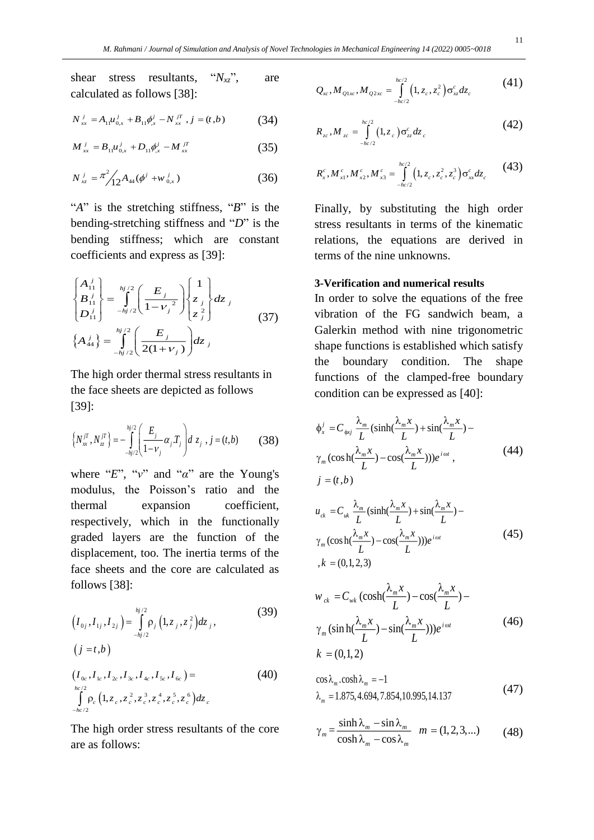shear stress resultants, "*Nxz*", are calculated as follows [38]:

$$
N_{xx}^j = A_{11} u_{0,x}^j + B_{11} \phi_{0,x}^j - N_{xx}^{jT}, j = (t,b)
$$
 (34)

$$
M_{xx}^j = B_{11} u_{0,x}^j + D_{11} \phi_{,x}^j - M_{xx}^{jT}
$$
 (35)

$$
N_{xz}^j = \pi^2 / 12 A_{44} (\phi^j + w_{0,x}^j)
$$
 (36)

"*A*" is the stretching stiffness, "*B*" is the bending-stretching stiffness and "*D*" is the bending stiffness; which are constant coefficients and express as [39]:

$$
\begin{cases}\nA_{11}^j \\
B_{11}^j \\
D_{11}^j\n\end{cases} = \int_{-hj/2}^{hj/2} \left(\frac{E_j}{1 - v_j^2}\right) \begin{cases}\n1 \\
z_j \\
z_j^2\n\end{cases} dz_j
$$
\n
$$
\left\{ A_{44}^j \right\} = \int_{-hj/2}^{hj/2} \left(\frac{E_j}{2(1 + v_j)}\right) dz_j
$$
\n(37)

The high order thermal stress resultants in the face sheets are depicted as follows [39]:

$$
\left\{ N_x^{jT}, N_z^{jT} \right\} = -\int_{-h j/2}^{h j/2} \left( \frac{E_j}{1 - v_j} \alpha_j T_j \right) dz_j, j = (t, b) \tag{38}
$$

where "*E*", "*ν*" and "*α*" are the Young's modulus, the Poisson's ratio and the thermal expansion coefficient, respectively, which in the functionally graded layers are the function of the displacement, too. The inertia terms of the face sheets and the core are calculated as follows [38]:

$$
\left(I_{0j}, I_{1j}, I_{2j}\right) = \int_{-hj/2}^{hj/2} \rho_j\left(1, z_j, z_j^2\right) dz_j,
$$
\n
$$
\left(j = t, b\right)
$$
\n
$$
\left(I_{0c}, I_{1c}, I_{2c}, I_{3c}, I_{4c}, I_{5c}, I_{6c}\right) =
$$
\n
$$
\int_{-h_c/2}^{h_c/2} \rho_c\left(1, z_c, z_c^2, z_c^3, z_c^4, z_c^5, z_c^6\right) dz_c
$$
\n(40)

The high order stress resultants of the core are as follows:

$$
Q_{xc}, M_{Q1xc}, M_{Q2xc} = \int_{-hc/2}^{hc/2} (1, z_c, z_c^2) \sigma_{xz}^c dz_c
$$
 (41)

$$
R_{zc}, M_{zc} = \int_{-hc/2}^{hc/2} (1, z_c) \sigma_{zz}^c dz_c
$$
 (42)

$$
R_x^c, M_{x1}^c, M_{x2}^c, M_{x3}^c = \int_{-hc/2}^{hc/2} (1, z_c, z_c^2, z_c^3) \sigma_{xx}^c dz_c
$$
 (43)

Finally, by substituting the high order stress resultants in terms of the kinematic relations, the equations are derived in terms of the nine unknowns.

#### **3-Verification and numerical results**

In order to solve the equations of the free vibration of the FG sandwich beam, a Galerkin method with nine trigonometric shape functions is established which satisfy the boundary condition. The shape functions of the clamped-free boundary condition can be expressed as [40]:

$$
\phi_x^j = C_{\phi_{xy}} \frac{\lambda_m}{L} (\sinh(\frac{\lambda_m x}{L}) + \sin(\frac{\lambda_m x}{L}) - \gamma_m (\cosh(\frac{\lambda_m x}{L}) - \cos(\frac{\lambda_m x}{L}))) e^{i\omega t},
$$
\n
$$
j = (t, b)
$$
\n(44)

$$
u_{ck} = C_{uk} \frac{\lambda_m}{L} (\sinh(\frac{\lambda_m x}{L}) + \sin(\frac{\lambda_m x}{L}) - \gamma_m (\cosh(\frac{\lambda_m x}{L}) - \cos(\frac{\lambda_m x}{L})))e^{i\omega t}
$$
  
,  $k = (0,1,2,3)$  (45)

$$
w_{ck} = C_{wk} \left(\cosh(\frac{\lambda_m x}{L}) - \cos(\frac{\lambda_m x}{L}) - \frac{\lambda_m x}{L}\right)
$$
  

$$
\gamma_m \left(\sinh(\frac{\lambda_m x}{L}) - \sin(\frac{\lambda_m x}{L})\right))e^{i\omega t}
$$
  

$$
k = (0,1,2)
$$
 (46)

$$
\cos \lambda_m \cdot \cosh \lambda_m = -1
$$
  
\n
$$
\lambda_m = 1.875, 4.694, 7.854, 10.995, 14.137
$$
\n(47)

$$
\gamma_m = \frac{\sinh \lambda_m - \sin \lambda_m}{\cosh \lambda_m - \cos \lambda_m} \quad m = (1, 2, 3, \ldots) \tag{48}
$$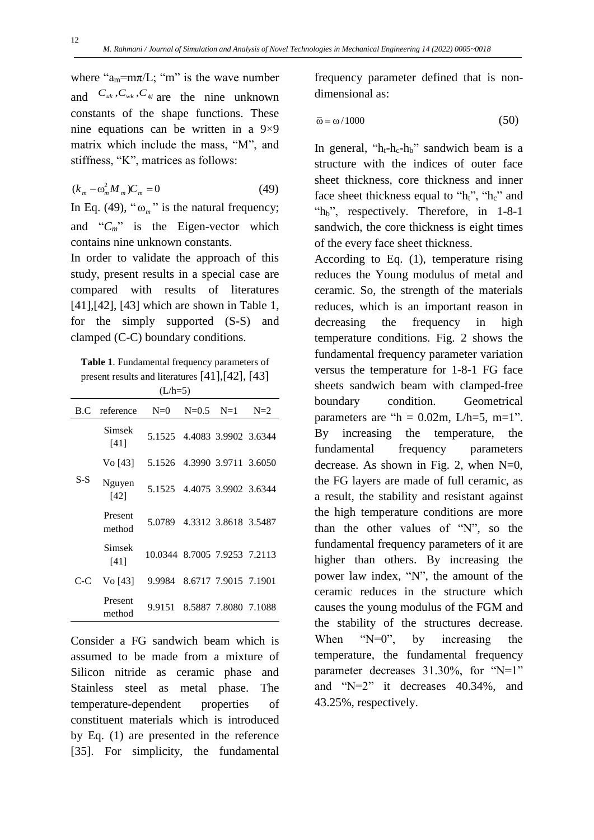where " $a_m = m\pi/L$ ; "m" is the wave number and  $C_{uk}$ ,  $C_{wk}$ ,  $C_{\psi}$  are the nine unknown constants of the shape functions. These nine equations can be written in a 9×9 matrix which include the mass, "M", and stiffness, "K", matrices as follows:

$$
(k_m - \omega_m^2 M_m)C_m = 0 \tag{49}
$$

In Eq. (49), " $\omega_m$ " is the natural frequency; and " $C_m$ " is the Eigen-vector which contains nine unknown constants.

In order to validate the approach of this study, present results in a special case are compared with results of literatures [41],[42], [43] which are shown in Table 1, for the simply supported (S-S) and clamped (C-C) boundary conditions.

**Table 1**. Fundamental frequency parameters of present results and literatures [41],[42], [43]  $(L/h=5)$ 

|     | B.C reference     | $N=0$                        | $N=0.5$ $N=1$ | $N=2$ |
|-----|-------------------|------------------------------|---------------|-------|
| S-S | Simsek<br>[41]    | 5.1525 4.4083 3.9902 3.6344  |               |       |
|     | Vo [43]           | 5.1526 4.3990 3.9711 3.6050  |               |       |
|     | Nguyen<br>[42]    | 5.1525 4.4075 3.9902 3.6344  |               |       |
|     | Present<br>method | 5.0789 4.3312 3.8618 3.5487  |               |       |
| C-C | Simsek<br>[41]    | 10.0344 8.7005 7.9253 7.2113 |               |       |
|     | Vo [43]           | 9.9984 8.6717 7.9015 7.1901  |               |       |
|     | Present<br>method | 9.9151 8.5887 7.8080 7.1088  |               |       |

Consider a FG sandwich beam which is assumed to be made from a mixture of Silicon nitride as ceramic phase and Stainless steel as metal phase. The temperature-dependent properties of constituent materials which is introduced by Eq. (1) are presented in the reference [35]. For simplicity, the fundamental

frequency parameter defined that is nondimensional as:

$$
\overline{\omega} = \omega / 1000 \tag{50}
$$

In general, " $h_t-h_c-h_b$ " sandwich beam is a structure with the indices of outer face sheet thickness, core thickness and inner face sheet thickness equal to "h<sub>t</sub>", "h<sub>c</sub>" and "h<sub>b</sub>", respectively. Therefore, in 1-8-1 sandwich, the core thickness is eight times of the every face sheet thickness.

According to Eq. (1), temperature rising reduces the Young modulus of metal and ceramic. So, the strength of the materials reduces, which is an important reason in decreasing the frequency in high temperature conditions. Fig. 2 shows the fundamental frequency parameter variation versus the temperature for 1-8-1 FG face sheets sandwich beam with clamped-free boundary condition. Geometrical parameters are " $h = 0.02$ m, L/h=5, m=1". By increasing the temperature, the fundamental frequency parameters decrease. As shown in Fig. 2, when  $N=0$ , the FG layers are made of full ceramic, as a result, the stability and resistant against the high temperature conditions are more than the other values of "N", so the fundamental frequency parameters of it are higher than others. By increasing the power law index, "N", the amount of the ceramic reduces in the structure which causes the young modulus of the FGM and the stability of the structures decrease. When  $N=0$ ", by increasing the temperature, the fundamental frequency parameter decreases 31.30%, for "N=1" and "N=2" it decreases 40.34%, and 43.25%, respectively.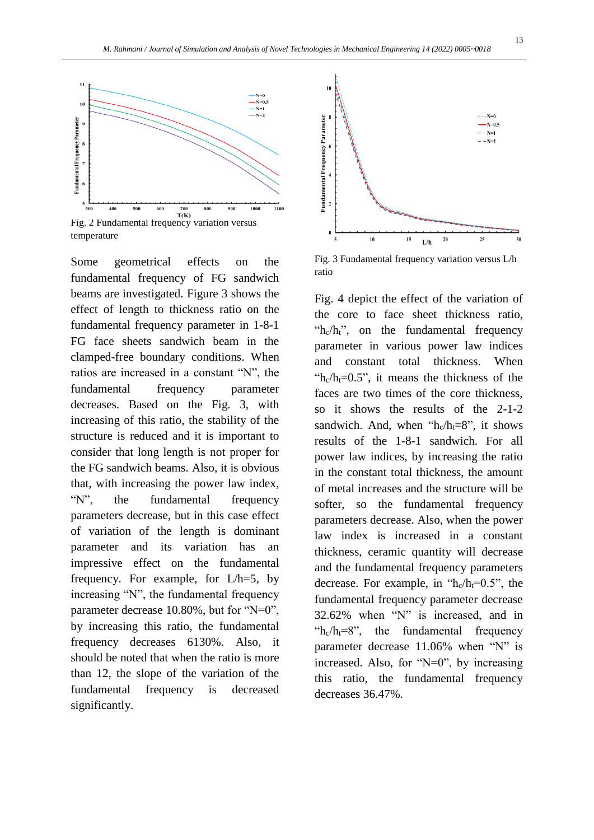

Some geometrical effects on the fundamental frequency of FG sandwich beams are investigated. Figure 3 shows the effect of length to thickness ratio on the fundamental frequency parameter in 1-8-1 FG face sheets sandwich beam in the clamped-free boundary conditions. When ratios are increased in a constant "N", the fundamental frequency parameter decreases. Based on the Fig. 3, with increasing of this ratio, the stability of the structure is reduced and it is important to consider that long length is not proper for the FG sandwich beams. Also, it is obvious that, with increasing the power law index, "N", the fundamental frequency parameters decrease, but in this case effect of variation of the length is dominant parameter and its variation has an impressive effect on the fundamental frequency. For example, for L/h=5, by increasing "N", the fundamental frequency parameter decrease 10.80%, but for "N=0", by increasing this ratio, the fundamental frequency decreases 6130%. Also, it should be noted that when the ratio is more than 12, the slope of the variation of the fundamental frequency is decreased significantly.



Fig. 3 Fundamental frequency variation versus L/h ratio

Fig. 4 depict the effect of the variation of the core to face sheet thickness ratio, "h<sub>c</sub>/h<sub>t</sub>", on the fundamental frequency parameter in various power law indices and constant total thickness. When " $h_c/h_t=0.5$ ", it means the thickness of the faces are two times of the core thickness, so it shows the results of the 2-1-2 sandwich. And, when " $h_c/h_f=8$ ", it shows results of the 1-8-1 sandwich. For all power law indices, by increasing the ratio in the constant total thickness, the amount of metal increases and the structure will be softer, so the fundamental frequency parameters decrease. Also, when the power law index is increased in a constant thickness, ceramic quantity will decrease and the fundamental frequency parameters decrease. For example, in " $h_c/h_f=0.5$ ", the fundamental frequency parameter decrease 32.62% when "N" is increased, and in " $h_c/h_f=8$ ", the fundamental frequency parameter decrease 11.06% when "N" is increased. Also, for "N=0", by increasing this ratio, the fundamental frequency decreases 36.47%.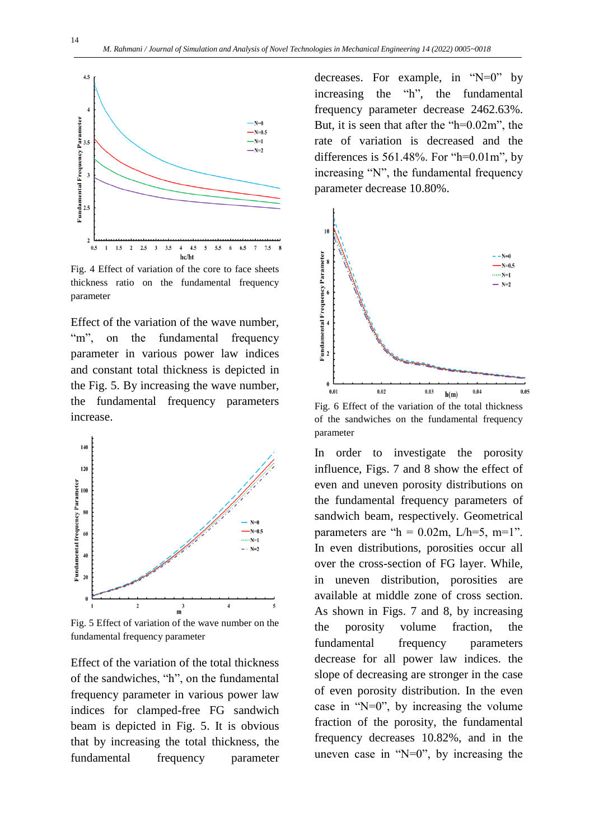

Fig. 4 Effect of variation of the core to face sheets thickness ratio on the fundamental frequency parameter

Effect of the variation of the wave number, "m", on the fundamental frequency parameter in various power law indices and constant total thickness is depicted in the Fig. 5. By increasing the wave number, the fundamental frequency parameters increase.



Fig. 5 Effect of variation of the wave number on the fundamental frequency parameter

Effect of the variation of the total thickness of the sandwiches, "h", on the fundamental frequency parameter in various power law indices for clamped-free FG sandwich beam is depicted in Fig. 5. It is obvious that by increasing the total thickness, the fundamental frequency parameter decreases. For example, in " $N=0$ " by increasing the "h", the fundamental frequency parameter decrease 2462.63%. But, it is seen that after the "h=0.02m", the rate of variation is decreased and the differences is  $561.48\%$ . For "h= $0.01$ m", by increasing "N", the fundamental frequency parameter decrease 10.80%.



Fig. 6 Effect of the variation of the total thickness of the sandwiches on the fundamental frequency parameter

In order to investigate the porosity influence, Figs. 7 and 8 show the effect of even and uneven porosity distributions on the fundamental frequency parameters of sandwich beam, respectively. Geometrical parameters are " $h = 0.02$ m, L/h=5, m=1". In even distributions, porosities occur all over the cross-section of FG layer. While, in uneven distribution, porosities are available at middle zone of cross section. As shown in Figs. 7 and 8, by increasing the porosity volume fraction, the fundamental frequency parameters decrease for all power law indices. the slope of decreasing are stronger in the case of even porosity distribution. In the even case in "N=0", by increasing the volume fraction of the porosity, the fundamental frequency decreases 10.82%, and in the uneven case in " $N=0$ ", by increasing the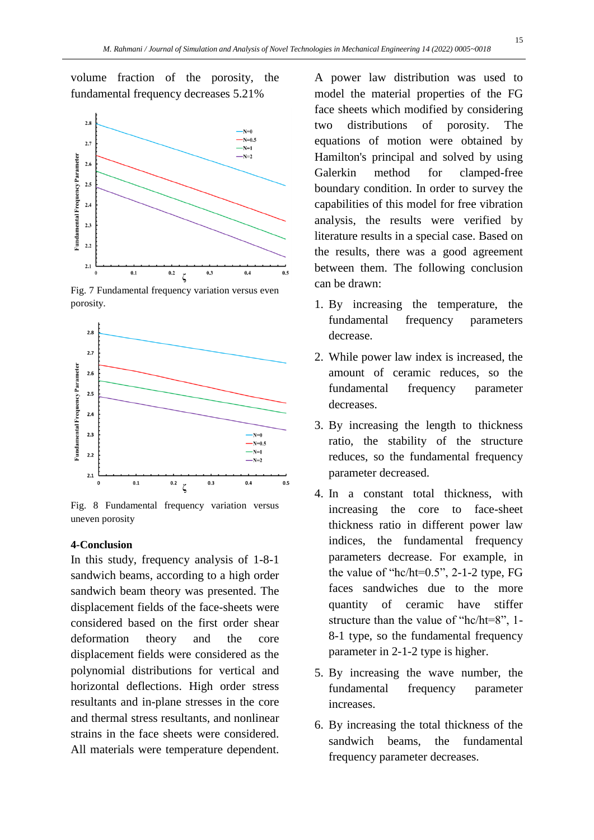volume fraction of the porosity, the fundamental frequency decreases 5.21%



Fig. 7 Fundamental frequency variation versus even porosity.



Fig. 8 Fundamental frequency variation versus uneven porosity

#### **4-Conclusion**

In this study, frequency analysis of 1-8-1 sandwich beams, according to a high order sandwich beam theory was presented. The displacement fields of the face-sheets were considered based on the first order shear deformation theory and the core displacement fields were considered as the polynomial distributions for vertical and horizontal deflections. High order stress resultants and in-plane stresses in the core and thermal stress resultants, and nonlinear strains in the face sheets were considered. All materials were temperature dependent.

A power law distribution was used to model the material properties of the FG face sheets which modified by considering two distributions of porosity. The equations of motion were obtained by Hamilton's principal and solved by using Galerkin method for clamped-free boundary condition. In order to survey the capabilities of this model for free vibration analysis, the results were verified by literature results in a special case. Based on the results, there was a good agreement between them. The following conclusion can be drawn:

- 1. By increasing the temperature, the fundamental frequency parameters decrease.
- 2. While power law index is increased, the amount of ceramic reduces, so the fundamental frequency parameter decreases.
- 3. By increasing the length to thickness ratio, the stability of the structure reduces, so the fundamental frequency parameter decreased.
- 4. In a constant total thickness, with increasing the core to face-sheet thickness ratio in different power law indices, the fundamental frequency parameters decrease. For example, in the value of "hc/ht=0.5", 2-1-2 type, FG faces sandwiches due to the more quantity of ceramic have stiffer structure than the value of "hc/ht=8", 1- 8-1 type, so the fundamental frequency parameter in 2-1-2 type is higher.
- 5. By increasing the wave number, the fundamental frequency parameter increases.
- 6. By increasing the total thickness of the sandwich beams, the fundamental frequency parameter decreases.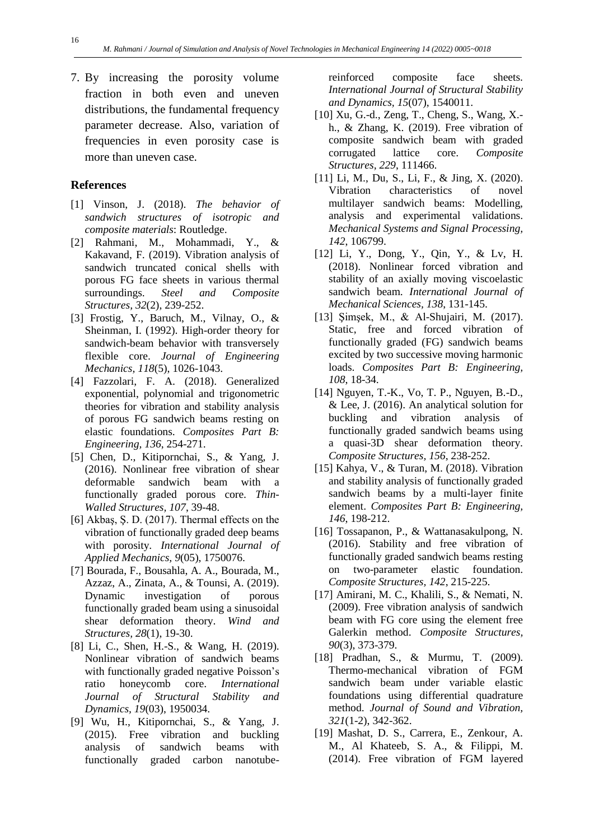7. By increasing the porosity volume fraction in both even and uneven distributions, the fundamental frequency parameter decrease. Also, variation of frequencies in even porosity case is more than uneven case.

## **References**

- [1] Vinson, J. (2018). *The behavior of sandwich structures of isotropic and composite materials*: Routledge.
- [2] Rahmani, M., Mohammadi, Y., & Kakavand, F. (2019). Vibration analysis of sandwich truncated conical shells with porous FG face sheets in various thermal surroundings. *Steel and Composite Structures, 32*(2), 239-252.
- [3] Frostig, Y., Baruch, M., Vilnay, O., & Sheinman, I. (1992). High-order theory for sandwich-beam behavior with transversely flexible core. *Journal of Engineering Mechanics, 118*(5), 1026-1043.
- [4] Fazzolari, F. A. (2018). Generalized exponential, polynomial and trigonometric theories for vibration and stability analysis of porous FG sandwich beams resting on elastic foundations. *Composites Part B: Engineering, 136*, 254-271.
- [5] Chen, D., Kitipornchai, S., & Yang, J. (2016). Nonlinear free vibration of shear deformable sandwich beam with a functionally graded porous core. *Thin-Walled Structures, 107*, 39-48.
- [6] Akbaş, Ş. D. (2017). Thermal effects on the vibration of functionally graded deep beams with porosity. *International Journal of Applied Mechanics, 9*(05), 1750076.
- [7] Bourada, F., Bousahla, A. A., Bourada, M., Azzaz, A., Zinata, A., & Tounsi, A. (2019). Dynamic investigation of porous functionally graded beam using a sinusoidal shear deformation theory. *Wind and Structures, 28*(1), 19-30.
- [8] Li, C., Shen, H.-S., & Wang, H. (2019). Nonlinear vibration of sandwich beams with functionally graded negative Poisson's ratio honeycomb core. *International Journal of Structural Stability and Dynamics, 19*(03), 1950034.
- [9] Wu, H., Kitipornchai, S., & Yang, J. (2015). Free vibration and buckling analysis of sandwich beams with functionally graded carbon nanotube-

reinforced composite face sheets. *International Journal of Structural Stability and Dynamics, 15*(07), 1540011.

- [10] Xu, G.-d., Zeng, T., Cheng, S., Wang, X. h., & Zhang, K. (2019). Free vibration of composite sandwich beam with graded corrugated lattice core. *Composite Structures, 229*, 111466.
- [11] Li, M., Du, S., Li, F., & Jing, X. (2020). Vibration characteristics of novel multilayer sandwich beams: Modelling, analysis and experimental validations. *Mechanical Systems and Signal Processing, 142*, 106799.
- [12] Li, Y., Dong, Y., Qin, Y., & Lv, H. (2018). Nonlinear forced vibration and stability of an axially moving viscoelastic sandwich beam. *International Journal of Mechanical Sciences, 138*, 131-145.
- [13] Şimşek, M., & Al-Shujairi, M. (2017). Static, free and forced vibration of functionally graded (FG) sandwich beams excited by two successive moving harmonic loads. *Composites Part B: Engineering, 108*, 18-34.
- [14] Nguyen, T.-K., Vo, T. P., Nguyen, B.-D., & Lee, J. (2016). An analytical solution for buckling and vibration analysis of functionally graded sandwich beams using a quasi-3D shear deformation theory. *Composite Structures, 156*, 238-252.
- [15] Kahya, V., & Turan, M. (2018). Vibration and stability analysis of functionally graded sandwich beams by a multi-layer finite element. *Composites Part B: Engineering, 146*, 198-212.
- [16] Tossapanon, P., & Wattanasakulpong, N. (2016). Stability and free vibration of functionally graded sandwich beams resting on two-parameter elastic foundation. *Composite Structures, 142*, 215-225.
- [17] Amirani, M. C., Khalili, S., & Nemati, N. (2009). Free vibration analysis of sandwich beam with FG core using the element free Galerkin method. *Composite Structures, 90*(3), 373-379.
- [18] Pradhan, S., & Murmu, T. (2009). Thermo-mechanical vibration of FGM sandwich beam under variable elastic foundations using differential quadrature method. *Journal of Sound and Vibration, 321*(1-2), 342-362.
- [19] Mashat, D. S., Carrera, E., Zenkour, A. M., Al Khateeb, S. A., & Filippi, M. (2014). Free vibration of FGM layered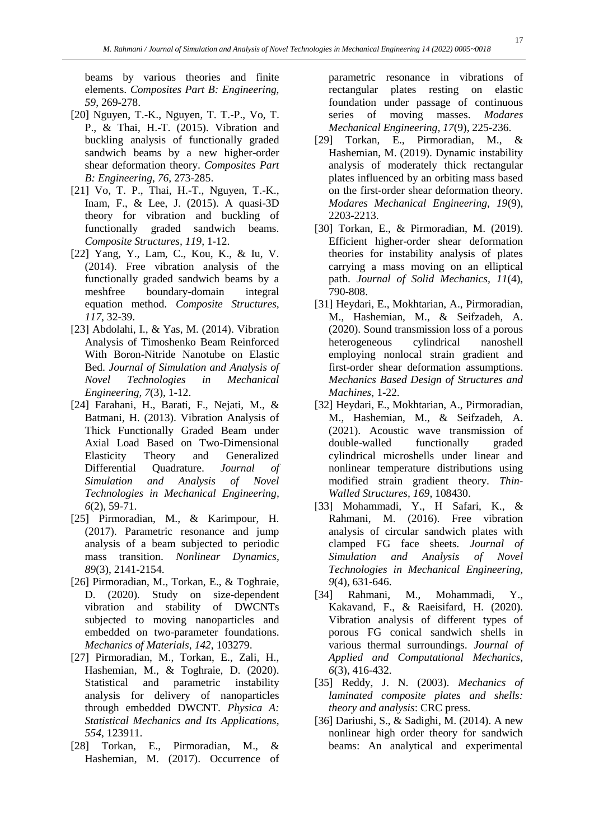beams by various theories and finite elements. *Composites Part B: Engineering, 59*, 269-278.

- [20] Nguyen, T.-K., Nguyen, T. T.-P., Vo, T. P., & Thai, H.-T. (2015). Vibration and buckling analysis of functionally graded sandwich beams by a new higher-order shear deformation theory. *Composites Part B: Engineering, 76*, 273-285.
- [21] Vo, T. P., Thai, H.-T., Nguyen, T.-K., Inam, F., & Lee, J. (2015). A quasi-3D theory for vibration and buckling of functionally graded sandwich beams. *Composite Structures, 119*, 1-12.
- [22] Yang, Y., Lam, C., Kou, K., & Iu, V. (2014). Free vibration analysis of the functionally graded sandwich beams by a meshfree boundary-domain integral equation method. *Composite Structures, 117*, 32-39.
- [23] Abdolahi, I., & Yas, M. (2014). Vibration Analysis of Timoshenko Beam Reinforced With Boron-Nitride Nanotube on Elastic Bed. *Journal of Simulation and Analysis of Novel Technologies in Mechanical Engineering, 7*(3), 1-12.
- [24] Farahani, H., Barati, F., Nejati, M., & Batmani, H. (2013). Vibration Analysis of Thick Functionally Graded Beam under Axial Load Based on Two-Dimensional Elasticity Theory and Generalized Differential Quadrature. *Journal of Simulation and Analysis of Novel Technologies in Mechanical Engineering, 6*(2), 59-71.
- [25] Pirmoradian, M., & Karimpour, H. (2017). Parametric resonance and jump analysis of a beam subjected to periodic mass transition. *Nonlinear Dynamics, 89*(3), 2141-2154.
- [26] Pirmoradian, M., Torkan, E., & Toghraie, D. (2020). Study on size-dependent vibration and stability of DWCNTs subjected to moving nanoparticles and embedded on two-parameter foundations. *Mechanics of Materials, 142*, 103279.
- [27] Pirmoradian, M., Torkan, E., Zali, H., Hashemian, M., & Toghraie, D. (2020). Statistical and parametric instability analysis for delivery of nanoparticles through embedded DWCNT. *Physica A: Statistical Mechanics and Its Applications, 554*, 123911.
- [28] Torkan, E., Pirmoradian, M., & Hashemian, M. (2017). Occurrence of

parametric resonance in vibrations of rectangular plates resting on elastic foundation under passage of continuous series of moving masses. *Modares Mechanical Engineering, 17*(9), 225-236.

- [29] Torkan, E., Pirmoradian, M., & Hashemian, M. (2019). Dynamic instability analysis of moderately thick rectangular plates influenced by an orbiting mass based on the first-order shear deformation theory. *Modares Mechanical Engineering, 19*(9), 2203-2213.
- [30] Torkan, E., & Pirmoradian, M. (2019). Efficient higher-order shear deformation theories for instability analysis of plates carrying a mass moving on an elliptical path. *Journal of Solid Mechanics, 11*(4), 790-808.
- [31] Heydari, E., Mokhtarian, A., Pirmoradian, M., Hashemian, M., & Seifzadeh, A. (2020). Sound transmission loss of a porous heterogeneous cylindrical nanoshell employing nonlocal strain gradient and first-order shear deformation assumptions. *Mechanics Based Design of Structures and Machines*, 1-22.
- [32] Heydari, E., Mokhtarian, A., Pirmoradian, M., Hashemian, M., & Seifzadeh, A. (2021). Acoustic wave transmission of double-walled functionally graded cylindrical microshells under linear and nonlinear temperature distributions using modified strain gradient theory. *Thin-Walled Structures, 169*, 108430.
- [33] Mohammadi, Y., H Safari, K., & Rahmani, M. (2016). Free vibration analysis of circular sandwich plates with clamped FG face sheets. *Journal of Simulation and Analysis of Novel Technologies in Mechanical Engineering, 9*(4), 631-646.
- [34] Rahmani, M., Mohammadi, Y., Kakavand, F., & Raeisifard, H. (2020). Vibration analysis of different types of porous FG conical sandwich shells in various thermal surroundings. *Journal of Applied and Computational Mechanics, 6*(3), 416-432.
- [35] Reddy, J. N. (2003). *Mechanics of laminated composite plates and shells: theory and analysis*: CRC press.
- [36] Dariushi, S., & Sadighi, M. (2014). A new nonlinear high order theory for sandwich beams: An analytical and experimental